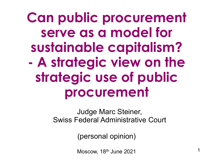**Can public procurement serve as a model for sustainable capitalism? - A strategic view on the strategic use of public procurement**

> Judge Marc Steiner, Swiss Federal Administrative Court

> > (personal opinion)

 $M$ oscow, 18<sup>th</sup> June 2021 1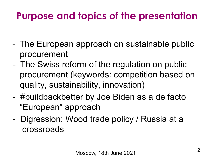# **Purpose and topics of the presentation**

- The European approach on sustainable public procurement
- The Swiss reform of the regulation on public procurement (keywords: competition based on quality, sustainability, innovation)
- #buildbackbetter by Joe Biden as a de facto "European" approach
- Digression: Wood trade policy / Russia at a crossroads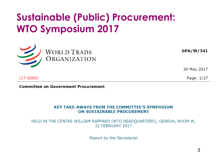## **Sustainable (Public) Procurement: WTO Symposium 2017**



GPA/W/341

30 May 2017

 $(17-0000)$ 

Page: 1/27

**Committee on Government Procurement** 

#### **KEY TAKE-AWAYS FROM THE COMMITTEE'S SYMPOSIUM ON SUSTAINABLE PROCUREMENT**

HELD IN THE CENTRE WILLIAM RAPPARD (WTO HEADQUARTERS), GENEVA, ROOM W, 22 FEBRUARY 2017

Report by the Secretariat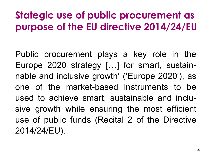## **Stategic use of public procurement as purpose of the EU directive 2014/24/EU**

Public procurement plays a key role in the Europe 2020 strategy […] for smart, sustainnable and inclusive growth' ('Europe 2020'), as one of the market-based instruments to be used to achieve smart, sustainable and inclusive growth while ensuring the most efficient use of public funds (Recital 2 of the Directive 2014/24/EU).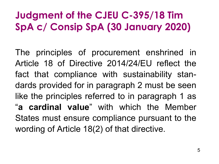# **Judgment of the CJEU C-395/18 Tim SpA c/ Consip SpA (30 January 2020)**

The principles of procurement enshrined in Article 18 of Directive 2014/24/EU reflect the fact that compliance with sustainability standards provided for in paragraph 2 must be seen like the principles referred to in paragraph 1 as "**a cardinal value**" with which the Member States must ensure compliance pursuant to the wording of Article 18(2) of that directive.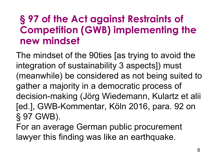#### **§ 97 of the Act against Restraints of Competition (GWB) implementing the new mindset**

The mindset of the 90ties [as trying to avoid the integration of sustainability 3 aspects]) must (meanwhile) be considered as not being suited to gather a majority in a democratic process of decision-making (Jörg Wiedemann, Kulartz et alii [ed.], GWB-Kommentar, Köln 2016, para. 92 on § 97 GWB).

For an average German public procurement lawyer this finding was like an earthquake.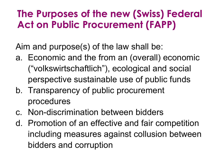### **The Purposes of the new (Swiss) Federal Act on Public Procurement (FAPP)**

Aim and purpose(s) of the law shall be:

- a. Economic and the from an (overall) economic ("volkswirtschaftlich"), ecological and social perspective sustainable use of public funds
- b. Transparency of public procurement procedures
- c. Non-discrimination between bidders
- d. Promotion of an effective and fair competition including measures against collusion between bidders and corruption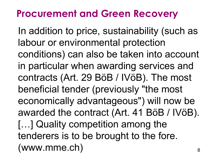#### **Procurement and Green Recovery**

8 In addition to price, sustainability (such as labour or environmental protection conditions) can also be taken into account in particular when awarding services and contracts (Art. 29 BöB / IVöB). The most beneficial tender (previously "the most economically advantageous") will now be awarded the contract (Art. 41 BöB / IVöB). […] Quality competition among the tenderers is to be brought to the fore. (www.mme.ch)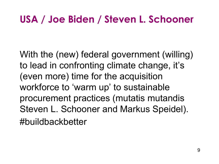## **USA / Joe Biden / Steven L. Schooner**

With the (new) federal government (willing) to lead in confronting climate change, it's (even more) time for the acquisition workforce to 'warm up' to sustainable procurement practices (mutatis mutandis Steven L. Schooner and Markus Speidel). #buildbackbetter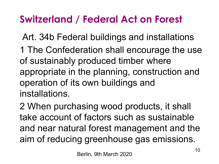# **Switzerland / Federal Act on Forest**

Art. 34b Federal buildings and installations

1 The Confederation shall encourage the use of sustainably produced timber where appropriate in the planning, construction and operation of its own buildings and installations.

2 When purchasing wood products, it shall take account of factors such as sustainable and near natural forest management and the aim of reducing greenhouse gas emissions.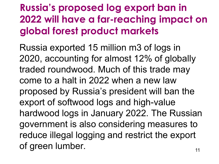# **Russia's proposed log export ban in 2022 will have a far-reaching impact on global forest product markets**

Russia exported 15 million m3 of logs in 2020, accounting for almost 12% of globally traded roundwood. Much of this trade may come to a halt in 2022 when a new law proposed by Russia's president will ban the export of softwood logs and high-value hardwood logs in January 2022. The Russian government is also considering measures to reduce illegal logging and restrict the export of green lumber.